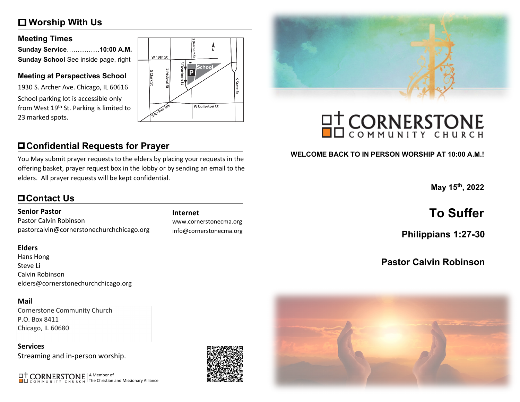# **Worship With Us**

### **Meeting Times**

| Sunday Service……………10:00 A.M.        |  |
|--------------------------------------|--|
| Sunday School See inside page, right |  |

### **Meeting at Perspectives School**

1930 S. Archer Ave. Chicago, IL 60616 School parking lot is accessible only from West 19<sup>th</sup> St. Parking is limited to 23 marked spots.



# **Confidential Requests for Prayer**

You May submit prayer requests to the elders by placing your requests in the offering basket, prayer request box in the lobby or by sending an email to the elders. All prayer requests will be kept confidential.

# **Contact Us**

### **Senior Pastor**

Pastor Calvin Robinson pastorcalvin@cornerstonechurchchicago.org

### **Elders**

Hans Hong Steve Li Calvin Robinson elders@cornerstonechurchchicago.org

### **Mail**

Cornerstone Community Church P.O. Box 8411 Chicago, IL 60680

**Services** Streaming and in-person worship.

A Member of The Christian and Missionary Alliance

www.cornerstonecma.org info@cornerstonecma.org



# **OT CORNERSTONE**

## **WELCOME BACK TO IN PERSON WORSHIP AT 10:00 A.M.!**

**May 15th, 2022**

# **Internet To Suffer**

**Philippians 1:27-30**

# **Pastor Calvin Robinson**